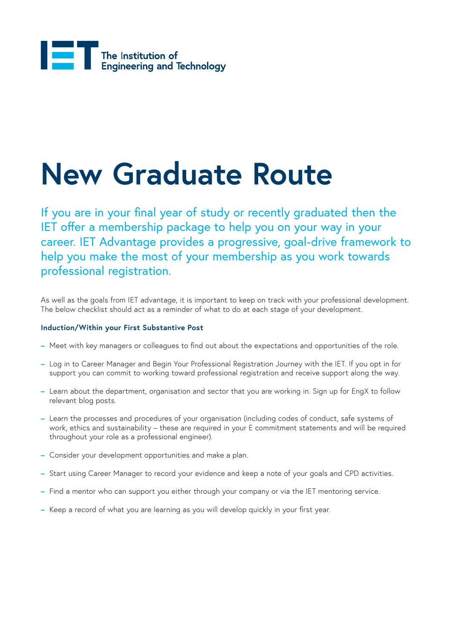

### **New Graduate Route**

If you are in your final year of study or recently graduated then the IET offer a membership package to help you on your way in your career. IET Advantage provides a progressive, goal-drive framework to help you make the most of your membership as you work towards professional registration.

As well as the goals from IET advantage, it is important to keep on track with your professional development. The below checklist should act as a reminder of what to do at each stage of your development.

### **Induction/Within your First Substantive Post**

- **–** Meet with key managers or colleagues to find out about the expectations and opportunities of the role.
- **–** Log in to Career Manager and Begin Your Professional Registration Journey with the IET. If you opt in for support you can commit to working toward professional registration and receive support along the way.
- **–** Learn about the department, organisation and sector that you are working in. Sign up for EngX to follow relevant blog posts.
- **–** Learn the processes and procedures of your organisation (including codes of conduct, safe systems of work, ethics and sustainability – these are required in your E commitment statements and will be required throughout your role as a professional engineer).
- **–** Consider your development opportunities and make a plan.
- **–** Start using Career Manager to record your evidence and keep a note of your goals and CPD activities.
- **–** Find a mentor who can support you either through your company or via the IET mentoring service.
- **–** Keep a record of what you are learning as you will develop quickly in your first year.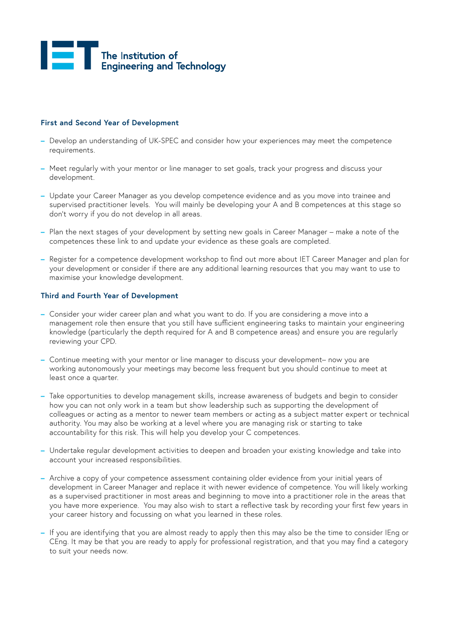# The Institution of<br>Engineering and Technology

### **First and Second Year of Development**

- **–** Develop an understanding of UK-SPEC and consider how your experiences may meet the competence requirements.
- **–** Meet regularly with your mentor or line manager to set goals, track your progress and discuss your development.
- **–** Update your Career Manager as you develop competence evidence and as you move into trainee and supervised practitioner levels. You will mainly be developing your A and B competences at this stage so don't worry if you do not develop in all areas.
- **–** Plan the next stages of your development by setting new goals in Career Manager make a note of the competences these link to and update your evidence as these goals are completed.
- **–** Register for a competence development workshop to find out more about IET Career Manager and plan for your development or consider if there are any additional learning resources that you may want to use to maximise your knowledge development.

#### **Third and Fourth Year of Development**

- **–** Consider your wider career plan and what you want to do. If you are considering a move into a management role then ensure that you still have sufficient engineering tasks to maintain your engineering knowledge (particularly the depth required for A and B competence areas) and ensure you are regularly reviewing your CPD.
- **–** Continue meeting with your mentor or line manager to discuss your development– now you are working autonomously your meetings may become less frequent but you should continue to meet at least once a quarter.
- **–** Take opportunities to develop management skills, increase awareness of budgets and begin to consider how you can not only work in a team but show leadership such as supporting the development of colleagues or acting as a mentor to newer team members or acting as a subject matter expert or technical authority. You may also be working at a level where you are managing risk or starting to take accountability for this risk. This will help you develop your C competences.
- **–** Undertake regular development activities to deepen and broaden your existing knowledge and take into account your increased responsibilities.
- **–** Archive a copy of your competence assessment containing older evidence from your initial years of development in Career Manager and replace it with newer evidence of competence. You will likely working as a supervised practitioner in most areas and beginning to move into a practitioner role in the areas that you have more experience. You may also wish to start a reflective task by recording your first few years in your career history and focussing on what you learned in these roles.
- **–** If you are identifying that you are almost ready to apply then this may also be the time to consider IEng or CEng. It may be that you are ready to apply for professional registration, and that you may find a category to suit your needs now.